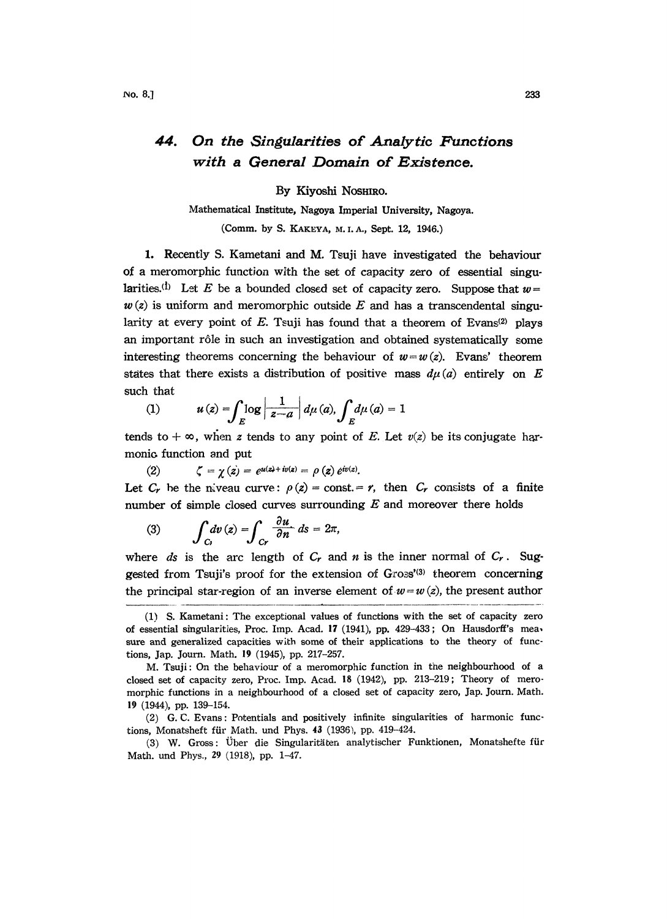## 44. On the Singularities of Analytic Functions with a General Domain of Existence.

By Kiyoshi NOSHIRO.

Mathematical Institute, Nagoya Imperial University, Nagoya. (Comm. by S. KAKEYA, M. I. A., Sept. 12, 1946.)

1. Recently S. Kametani and M. Tsuji have investigated the behaviour of a meromorphic function with the set of capacity zero of essential singularities.<sup>(1)</sup> Let E be a bounded closed set of capacity zero. Suppose that  $w=$  $w(z)$  is uniform and meromorphic outside E and has a transcendental singularity at every point of E. Tsuji has found that a theorem of Evans<sup>(2)</sup> plays an important r61e in such an investigation and obtained systematically some interesting theorems concerning the behaviour of  $w=w(z)$ . Evans' theorem states that there exists a distribution of positive mass  $d\mu(a)$  entirely on E such that

(1) 
$$
u(z) = \int_{E} \log \left| \frac{1}{z-a} \right| d\mu(a), \int_{E} d\mu(a) = 1
$$

tends to  $+\infty$ , when z tends to any point of E. Let  $v(z)$  be its conjugate harmonic function and put

(2) 
$$
\zeta = \chi(z) = e^{\mu(z) + i v(z)} = \rho(z) e^{i v(z)}.
$$

Let  $C_r$  be the niveau curve:  $\rho(z) = \text{const.} = r$ , then  $C_r$  consists of a finite number of simple closed curves surrounding  $E$  and moreover there holds

(3) 
$$
\int_{C_1} dv(z) = \int_{C_r} \frac{\partial u}{\partial n} ds = 2\pi,
$$

where ds is the arc length of  $C_r$  and n is the inner normal of  $C_r$ . Suggested from Tsuji's proof for the extension of Gross'(3) theorem concerning the principal star-region of an inverse element of  $w=w(z)$ , the present author

<sup>(1)</sup> S. Kametani: The exceptional values of functions with the set of capacity zero of essential singularities, Proc. Imp. Acad. <sup>17</sup> (1941), pp. 429-433; On Hausdorff's mea, sure and generalized capacities with some of their applications to the theory of functions, Jap. Journ. Math. 19 (1945), pp. 217-257.

M. Tsuji: On the behaviour of a meromorphic function in the neighbourhood of a closed set of capacity zero, Proc. Imp. Acad. 18 (1942), pp. 213-219; Theory of meromorphic functions in a neighbourhood of a closed set of capacity zero, Jap. Journ. Math. 19 (1944), pp. 139-154.

<sup>(2)</sup> G.C. Evans: Potentials and positively infinite singularities of harmonic functions, Monatsheft für Math. und Phys. 43 (1936), pp. 419-424.

<sup>(3)</sup> W. Gross: Über die Singularitäten analytischer Funktionen, Monatshefte für Math. und Phys., 29 (1918), pp. 1-47.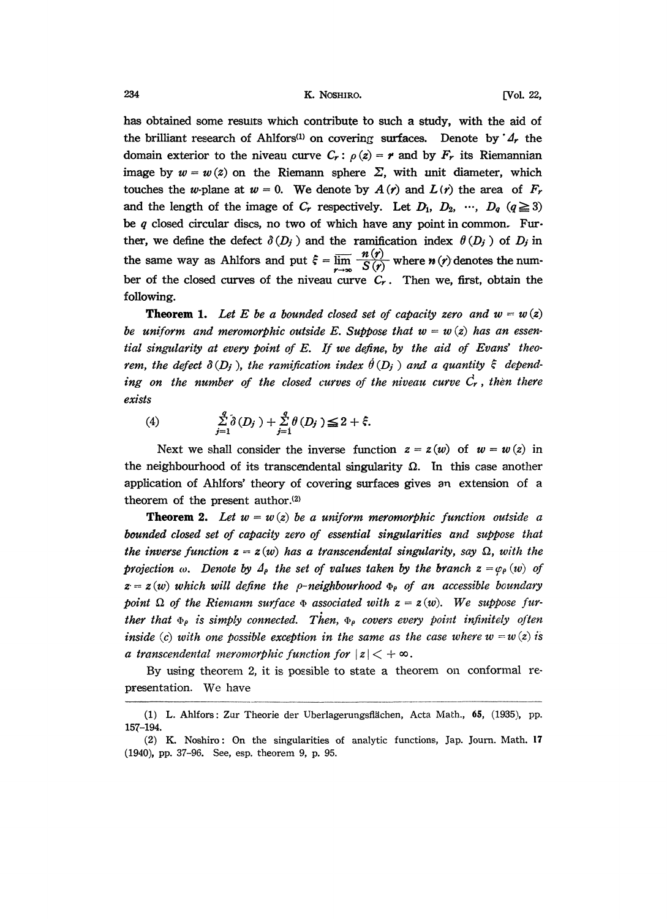234 **E. R. NOSHIRO. E. R. NOSHIRO. E. R. NOSHIRO. E. P. 1001**, 22,

has obtained some results which contribute to such a study, with the aid of the brilliant research of Ahlfors<sup>(1)</sup> on covering surfaces. Denote by  $\mathcal{A}_r$  the domain exterior to the niveau curve  $C_r$ :  $\rho(z) = r$  and by  $F_r$  its Riemannian image by  $w = w(z)$  on the Riemann sphere  $\Sigma$ , with unit diameter, which touches the w-plane at  $w = 0$ . We denote by  $A(r)$  and  $L(r)$  the area of  $F_r$ and the length of the image of  $C_r$  respectively. Let  $D_1$ ,  $D_2$ , ...,  $D_q$  ( $q \ge 3$ ) be q closed circular discs, no two of which have any point in common. Further, we define the defect  $\delta(D_i)$  and the ramification index  $\theta(D_i)$  of  $D_i$  in the same way as Ahlfors and put  $\zeta = \overline{\lim_{r \to \infty}} \frac{n(r)}{S(r)}$  where  $n(r)$  denotes the number of the closed curves of the niveau curve  $C_r$ . Then we, first, obtain the following.

**Theorem 1.** Let E be a bounded closed set of capacity zero and  $w-w(z)$ be uniform and meromorphic outside E. Suppose that  $w = w(z)$  has an essential singularity at every point of E. If we define, by the aid of Evans' theorem, the defect  $\delta(D_i)$ , the ramification index  $\hat{\theta}(D_i)$  and a quantity  $\xi$  depending on the number of the closed curves of the niveau curve  $\dot{C}_r$ , then there exists

(4) 
$$
\sum_{j=1}^{q} \delta(D_j) + \sum_{j=1}^{q} \theta(D_j) \leq 2 + \xi.
$$

Next we shall consider the inverse function  $z = z(w)$  of  $w = w(z)$  in the neighbourhood of its transcendental singularity  $\Omega$ . In this case another application of Ahlfors' theory of covering surfaces gives an extension of a theorem of the present author.<sup>(2)</sup>

**Theorem 2.** Let  $w = w(z)$  be a uniform meromorphic function outside a bounded closed set of capacity zero of essential singularities and suppose that the inverse function  $z = z(w)$  has a transcendental singularity, say  $\Omega$ , with the projection  $\omega$ . Denote by  $\Delta_{\rho}$  the set of values taken by the branch  $z = \varphi_{\rho}(w)$  of<br> $z = z(w)$  which will define the o-neighbourhood  $\Phi_{\rho}$  of an accessible houndary  $z = z(w)$  which will define the p-neighbourhood  $\Phi_{\rho}$  of an accessible boundary point  $\Omega$  of the Riemann surface  $\Phi$  associated with  $z = z(w)$ . We suppose further that  $\Phi_{\rho}$  is simply connected. Then,  $\Phi_{\rho}$  covers every point infinitely often inside (c) with one possible exception in the same as the case where  $w = w(z)$  is a transcendental meromorphic function for  $|z| < +\infty$ .

By using theorem 2, it is possible to state a theorem on conformal representation. We have

<sup>(1)</sup> L. Ahlfors: Zur Theorie der Uberlagerungsflächen, Acta Math., 65, (1935), pp. 157-194.

<sup>(2)</sup> K. Noshiro: On the singularities of analytic functions, Jap. Journ. Math. <sup>17</sup> (1940), pp. 37-96. See, esp. theorem 9, p. 95.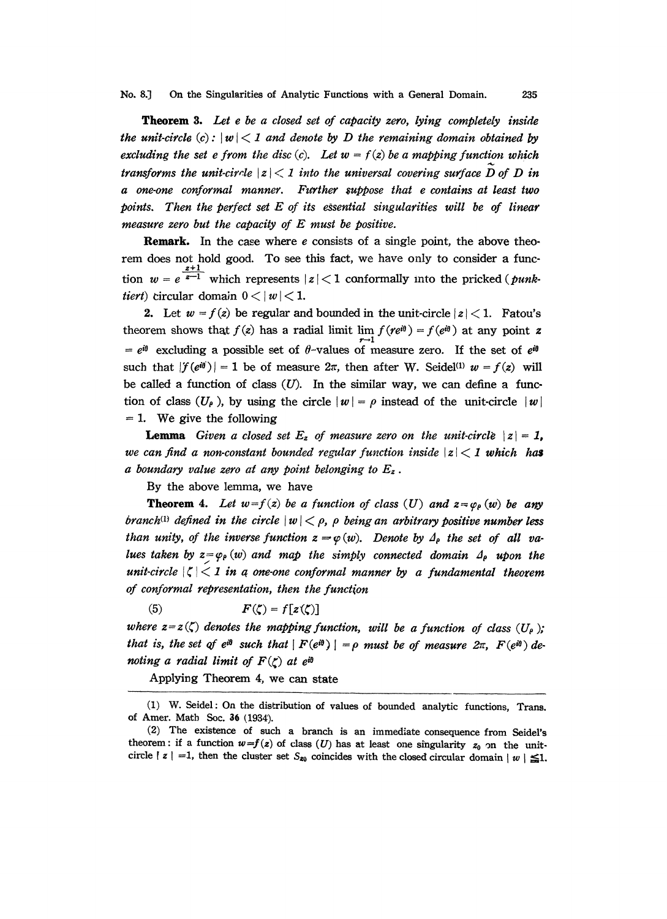No. 8.] On the Singularities of Analytic Functions with a General Domain. 235

Theorem 3. Let e be a closed set of capacity zero, lying completely inside the unit-circle  $(c): |w| < 1$  and denote by D the remaining domain obtained by excluding the set e from the disc (c). Let  $w = f(z)$  be a mapping function which transforms the unit-circle  $|z| < 1$  into the universal covering surface  $\overline{D}$  of  $D$  in a one-one conformal manner. Further suppose that e contains at least two points. Then the perfect set  $E$  of its essential singularities will be of linear measure zero but the capacity of E must be positive.

**Remark.** In the case where  $e$  consists of a single point, the above theorem does not hold good. To see this fact, we have only to consider a function  $w = e^{\frac{x+1}{x-1}}$  which represents  $|z| < 1$  conformally into the pricked (*punk*tiert) circular domain  $0 < |w| < 1$ .

2. Let  $w = f(z)$  be regular and bounded in the unit-circle  $|z| < 1$ . Fatou's theorem shows that  $f(z)$  has a radial limit lim  $f(re^{i\theta}) = f(e^{i\theta})$  at any point z  $e^{i\theta}$  excluding a possible set of  $\theta$ -values of measure zero. If the set of  $e^{i\theta}$ such that  $|f(e^{i\theta})|=1$  be of measure  $2\pi$ , then after W. Seidel<sup>(1)</sup>  $w = f(z)$  will be called a function of class  $(U)$ . In the similar way, we can define a function of class  $(U_\rho)$ , by using the circle  $|w|-\rho$  instead of the unit-circle  $|w|$  $= 1$ . We give the following

**Lemma** Given a closed set  $E_z$  of measure zero on the unit-circle  $|z| = 1$ , we can find a non-constant bounded regular function inside  $|z|$   $\lt$  1 which has a boundary value zero at any point belonging to  $E_z$ .

By the above lemma, we have

**Theorem 4.** Let  $w = f(z)$  be a function of class (U) and  $z = \varphi_{\rho}(w)$  be any branch<sup>(1)</sup> defined in the circle  $|w| < \rho$ ,  $\rho$  being an arbitrary positive number less than unity, of the inverse function  $z = \varphi(w)$ . Denote by  $\Delta_{\rho}$  the set of all values taken by  $z = \varphi_{\rho}(w)$  and map the simply connected domain  $\Delta_{\rho}$  upon the unit-circle  $|\zeta|$  in a one-one conformal manner by a fundamental theorem of conformal representation, then the function

(5)  $F(\zeta) = f[z(\zeta)]$ 

where  $z = z(\zeta)$  denotes the mapping function, will be a function of class  $(U_{\rho})$ ; that is, the set of e<sup>ig</sup> such that  $|F(e^{i\theta})| = \rho$  must be of measure  $2\pi$ ,  $F(e^{i\theta})$  denoting a radial limit of  $F(\zeta)$  at eig

Applying Theorem 4, we can state

<sup>(1)</sup> W. Seidel: On the distribution of values of bounded analytic functions, Trans. of Amer. Math Soc. 36 (1934).

<sup>(2)</sup> The existence of such a branch is an immediate consequence from Seidel's theorem: if a function  $w=f(z)$  of class (U) has at least one singularity  $z_0$  on the unitcircle  $|z| = 1$ , then the cluster set  $S_{z0}$  coincides with the closed circular domain  $|w| \leq 1$ .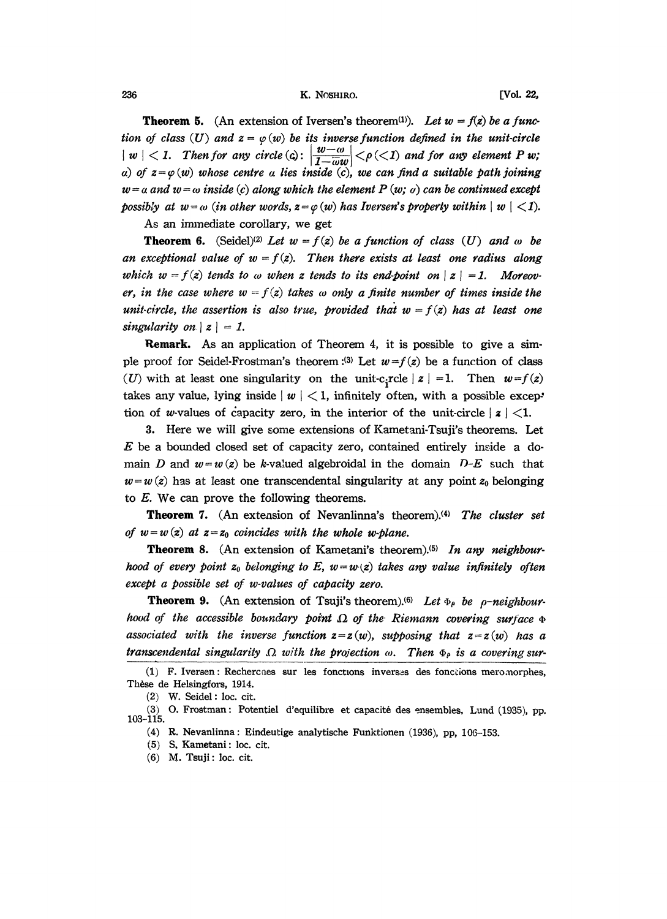236 K. NOSHIRO. [Vol. 22,

**Theorem 5.** (An extension of Iversen's theorem<sup>(1)</sup>). Let  $w = f(z)$  be a function of class (U) and  $z = \varphi(w)$  be its inverse function defined in the unit-circle  $|w| < 1$ . Then for any circle (c):  $\left|\frac{w-w}{1-\omega w}\right| < \rho \ll 1$  and for any element P w; a) of  $z = \varphi(w)$  whose centre a lies inside (c), we can find a suitable path joining  $w = a$  and  $w = \omega$  inside (c) along which the element P (w;  $\omega$ ) can be continued except possibly at  $w = \omega$  (in other words,  $z = \varphi(w)$  has Iversen's property within  $|w| < 1$ ).

As an immediate corollary, we get

**Theorem 6.** (Seidel)<sup>(2)</sup> Let  $w = f(z)$  be a function of class (U) and  $\omega$  be an exceptional value of  $w = f(z)$ . Then there exists at least one radius along which  $w = f(z)$  tends to  $\omega$  when z tends to its end-point on  $|z| = 1$ . Moreover, in the case where  $w = f(z)$  takes  $\omega$  only a finite number of times inside the unit-circle, the assertion is also true, provided that  $w = f(z)$  has at least one singularity on  $|z| = 1$ .

Remark. As an application of Theorem 4, it is possible to give a simple proof for Seidel-Frostman's theorem :<sup>(3)</sup> Let  $w = f(z)$  be a function of class (U) with at least one singularity on the unit-c<sub>i</sub>rcle  $|z| = 1$ . Then  $w = f(z)$ takes any value, lying inside  $|w| < 1$ , infinitely often, with a possible exception of w-values of capacity zero, in the interior of the unit-circle  $|z|$  < 1.

. Here we will give some extensions of Kametani-Tsuji's theorems. Let  $E$  be a bounded closed set of capacity zero, contained entirely inside a domain D and  $w = w(x)$  be k-valued algebroidal in the domain D-E such that  $w=w(z)$  has at least one transcendental singularity at any point  $z_0$  belonging to E. We can prove the following theorems.

Theorem 7. (An extension of Nevanlinna's theorem).<sup>(4)</sup> The cluster set of  $w = w(z)$  at  $z = z_0$  coincides with the whole w-plane.

**Theorem 8.** (An extension of Kametani's theorem).<sup>(5)</sup> In any neighbourhood of every point  $z_0$  belonging to E,  $w=w(z)$  takes any value infinitely often except a possible set of w-values of capacity zero.

**Theorem 9.** (An extension of Tsuji's theorem).<sup>(6)</sup> Let  $\Phi_{\rho}$  be  $\rho$ -neighbourhood of the accessible boundary point  $\Omega$  of the Riemann covering surface  $\Phi$ associated with the inverse function  $z = z(w)$ , supposing that  $z = z(w)$  has a transcendental singularity  $\Omega$  with the projection  $\omega$ . Then  $\Phi_{\rho}$  is a covering sur-

<sup>(1)</sup> F. Iversen: Rechercaes sue les foncttons inverses des fonctions meromorphes, Thèse de Helsingfors, 1914.

<sup>(2)</sup> W. Seidel: loc. cir.

<sup>(3)</sup> O. Frostman: Potentiel d'equilibre et capacité des ensembles, Lund (1935), pp. 103-115.

<sup>(4)</sup> R. Nevanlinna: Eindeutige analytische Funktionen (1936), pp, 106-153.

<sup>(5)</sup> S. Kametani: loc. cit.

 $(6)$  M. Tsuji: loc. cit.